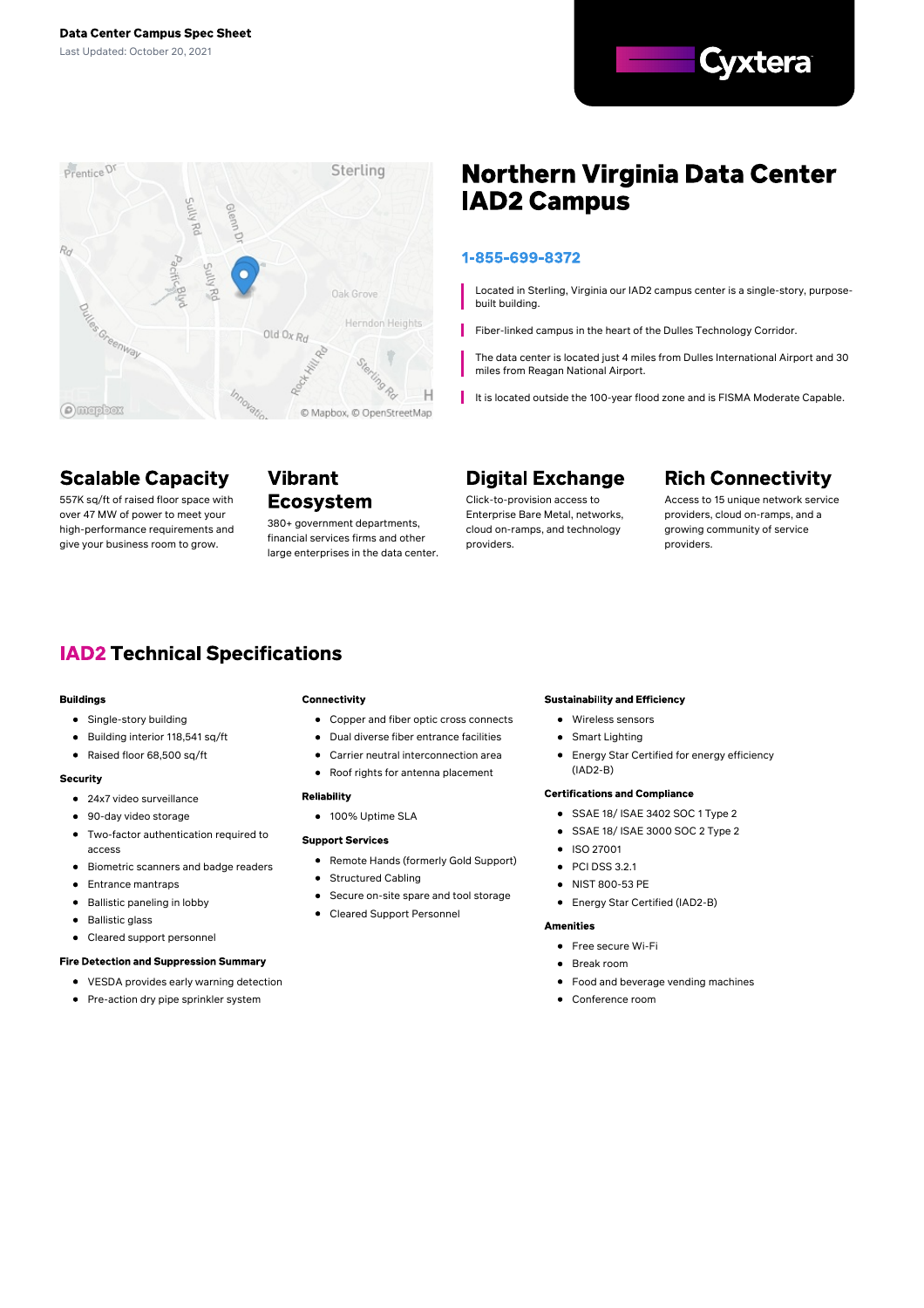



# **Scalable Capacity**

over 47 MW of power to meet your high-performance requirements and give your business room to grow.

**Vibrant** 557K sq/ft of raised floor space with **Ecosystem** 

380+ government departments, financial services firms and other large enterprises in the data center.

# **Northern Virginia Data Center IAD2 Campus**

### 1-855-699-8372

Located in Sterling, Virginia our IAD2 campus center is a single-story, purposebuilt building.

Fiber-linked campus in the heart of the Dulles Technology Corridor.

The data center is located just 4 miles from Dulles International Airport and 30 miles from Reagan National Airport.

It is located outside the 100-year flood zone and is FISMA Moderate Capable.

# **Digital Exchange**

Click-to-provision access to Enterprise Bare Metal, networks, cloud on-ramps, and technology providers.

# **Rich Connectivity**

Access to 15 unique network service providers, cloud on-ramps, and a growing community of service providers.

# **IAD2 Technical Specifications**

#### **Buildings**

- Single-story building
- Building interior 118,541 sq/ft
- $\bullet$ Raised floor 68,500 sq/ft

#### Security

- 24x7 video surveillance
- 90-day video storage
- $\bullet$ Two-factor authentication required to access
- $\bullet$ Biometric scanners and badge readers
- $\bullet$ Entrance mantraps
- $\bullet$ Ballistic paneling in lobby
- $\bullet$ Ballistic glass
- Cleared support personnel

#### **Fire Detection and Suppression Summary**

- VESDA provides early warning detection
- Pre-action dry pipe sprinkler system

#### **Connectivity**

- Copper and fiber optic cross connects
- Dual diverse fiber entrance facilities
- Carrier neutral interconnection area
- Roof rights for antenna placement

#### **Reliability**

● 100% Uptime SLA

#### **Support Services**

- Remote Hands (formerly Gold Support)
- **•** Structured Cabling
- Secure on-site spare and tool storage  $\bullet$
- Cleared Support Personnel  $\bullet$

#### **Sustainability and Efficiency**

- Wireless sensors
- Smart Lighting
- Energy Star Certified for energy efficiency (IAD2-B)

#### **Certifications and Compliance**

- SSAE 18/ ISAE 3402 SOC 1 Type 2
- SSAE 18/ ISAE 3000 SOC 2 Type 2
- **•** ISO 27001
- $\bullet$ PCI DSS 3.2.1
- NIST 800-53 PE
	- Energy Star Certified (IAD2-B)

#### **Amenities**

- Free secure Wi-Fi
- Break room
- Food and beverage vending machines
- Conference room